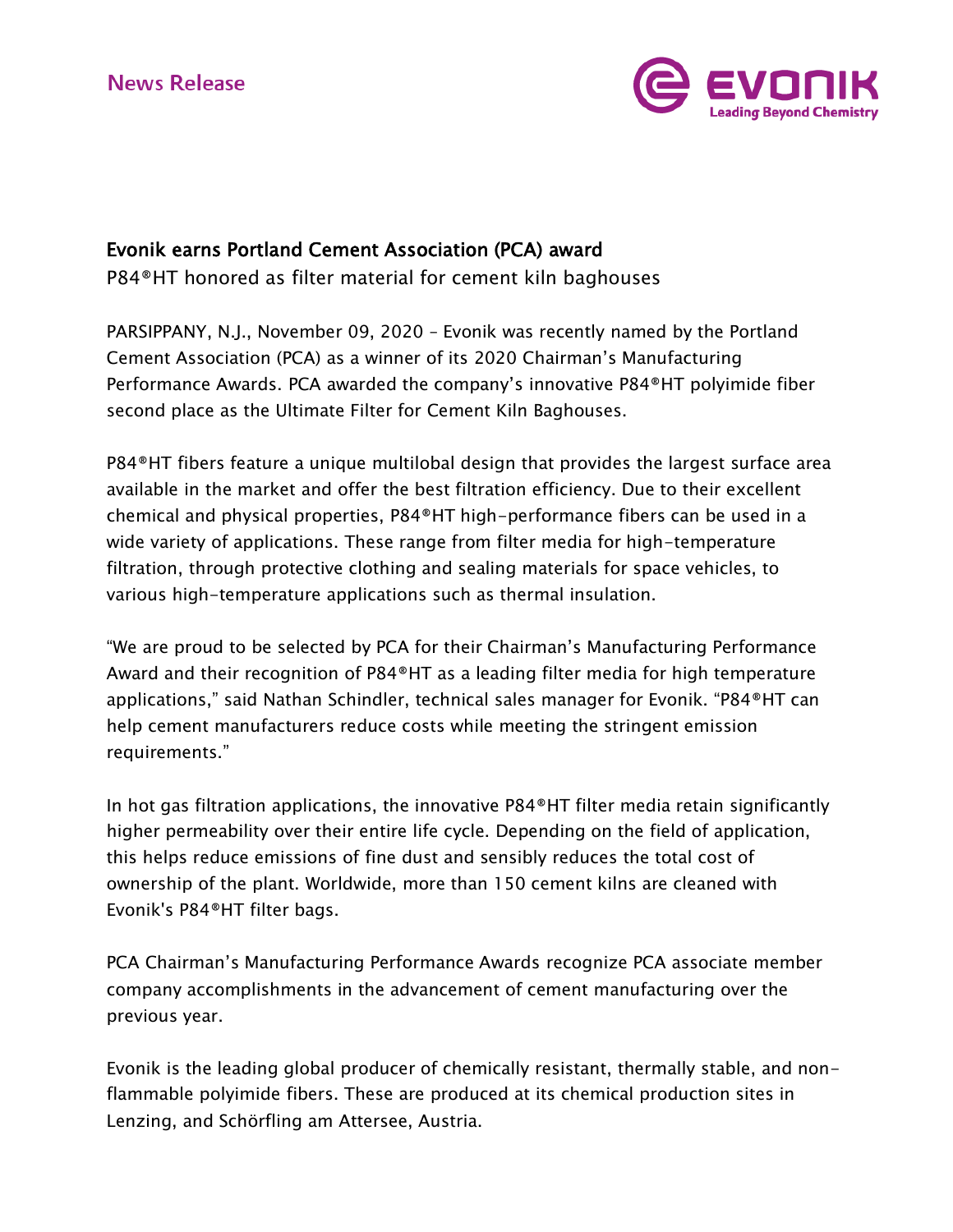

## Evonik earns Portland Cement Association (PCA) award

P84®HT honored as filter material for cement kiln baghouses

PARSIPPANY, N.J., November 09, 2020 – Evonik was recently named by the Portland Cement Association (PCA) as a winner of its 2020 Chairman's Manufacturing Performance Awards. PCA awarded the company's innovative P84®HT polyimide fiber second place as the Ultimate Filter for Cement Kiln Baghouses.

P84®HT fibers feature a unique multilobal design that provides the largest surface area available in the market and offer the best filtration efficiency. Due to their excellent chemical and physical properties, P84®HT high-performance fibers can be used in a wide variety of applications. These range from filter media for high-temperature filtration, through protective clothing and sealing materials for space vehicles, to various high-temperature applications such as thermal insulation.

"We are proud to be selected by PCA for their Chairman's Manufacturing Performance Award and their recognition of P84®HT as a leading filter media for high temperature applications," said Nathan Schindler, technical sales manager for Evonik. "P84®HT can help cement manufacturers reduce costs while meeting the stringent emission requirements."

In hot gas filtration applications, the innovative P84®HT filter media retain significantly higher permeability over their entire life cycle. Depending on the field of application, this helps reduce emissions of fine dust and sensibly reduces the total cost of ownership of the plant. Worldwide, more than 150 cement kilns are cleaned with Evonik's P84®HT filter bags.

PCA Chairman's Manufacturing Performance Awards recognize PCA associate member company accomplishments in the advancement of cement manufacturing over the previous year.

Evonik is the leading global producer of chemically resistant, thermally stable, and nonflammable polyimide fibers. These are produced at its chemical production sites in Lenzing, and Schörfling am Attersee, Austria.